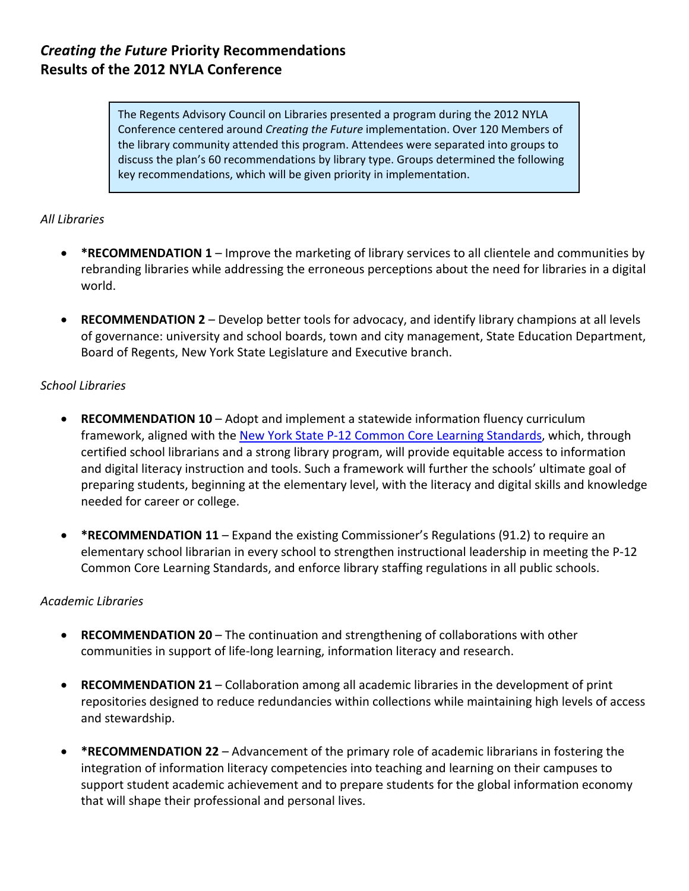# *Creating the Future* **Priority Recommendations Results of the 2012 NYLA Conference**

The Regents Advisory Council on Libraries presented a program during the 2012 NYLA Conference centered around *Creating the Future* implementation. Over 120 Members of the library community attended this program. Attendees were separated into groups to discuss the plan's 60 recommendations by library type. Groups determined the following key recommendations, which will be given priority in implementation.

# *All Libraries*

- **\*RECOMMENDATION 1** Improve the marketing of library services to all clientele and communities by rebranding libraries while addressing the erroneous perceptions about the need for libraries in a digital world.
- **RECOMMENDATION 2** Develop better tools for advocacy, and identify library champions at all levels of governance: university and school boards, town and city management, State Education Department, Board of Regents, New York State Legislature and Executive branch.

## *School Libraries*

- **RECOMMENDATION 10** Adopt and implement a statewide information fluency curriculum framework, aligned with the New York State P‐12 Common Core Learning [Standards,](http://www.p12.nysed.gov/ciai/common_core_standards/) which, through certified school librarians and a strong library program, will provide equitable access to information and digital literacy instruction and tools. Such a framework will further the schools' ultimate goal of preparing students, beginning at the elementary level, with the literacy and digital skills and knowledge needed for career or college.
- **\*RECOMMENDATION 11** Expand the existing Commissioner's Regulations (91.2) to require an elementary school librarian in every school to strengthen instructional leadership in meeting the P‐12 Common Core Learning Standards, and enforce library staffing regulations in all public schools.

## *Academic Libraries*

- **RECOMMENDATION 20** The continuation and strengthening of collaborations with other communities in support of life‐long learning, information literacy and research.
- **RECOMMENDATION 21** Collaboration among all academic libraries in the development of print repositories designed to reduce redundancies within collections while maintaining high levels of access and stewardship.
- **\*RECOMMENDATION 22** Advancement of the primary role of academic librarians in fostering the integration of information literacy competencies into teaching and learning on their campuses to support student academic achievement and to prepare students for the global information economy that will shape their professional and personal lives.